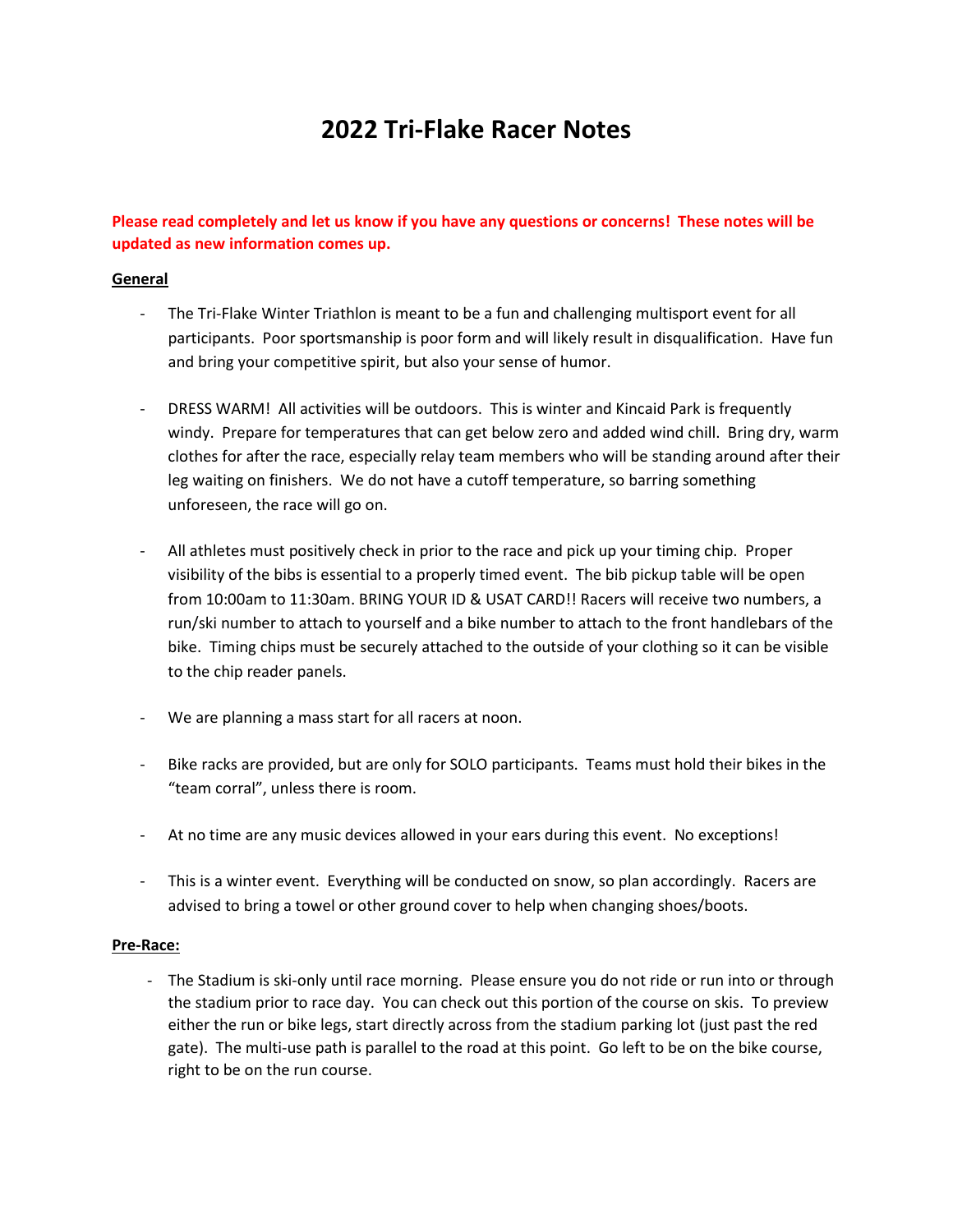# **2022 Tri-Flake Racer Notes**

# **Please read completely and let us know if you have any questions or concerns! These notes will be updated as new information comes up.**

## **General**

- The Tri-Flake Winter Triathlon is meant to be a fun and challenging multisport event for all participants. Poor sportsmanship is poor form and will likely result in disqualification. Have fun and bring your competitive spirit, but also your sense of humor.
- DRESS WARM! All activities will be outdoors. This is winter and Kincaid Park is frequently windy. Prepare for temperatures that can get below zero and added wind chill. Bring dry, warm clothes for after the race, especially relay team members who will be standing around after their leg waiting on finishers. We do not have a cutoff temperature, so barring something unforeseen, the race will go on.
- All athletes must positively check in prior to the race and pick up your timing chip. Proper visibility of the bibs is essential to a properly timed event. The bib pickup table will be open from 10:00am to 11:30am. BRING YOUR ID & USAT CARD!! Racers will receive two numbers, a run/ski number to attach to yourself and a bike number to attach to the front handlebars of the bike. Timing chips must be securely attached to the outside of your clothing so it can be visible to the chip reader panels.
- We are planning a mass start for all racers at noon.
- Bike racks are provided, but are only for SOLO participants. Teams must hold their bikes in the "team corral", unless there is room.
- At no time are any music devices allowed in your ears during this event. No exceptions!
- This is a winter event. Everything will be conducted on snow, so plan accordingly. Racers are advised to bring a towel or other ground cover to help when changing shoes/boots.

#### **Pre-Race:**

- The Stadium is ski-only until race morning. Please ensure you do not ride or run into or through the stadium prior to race day. You can check out this portion of the course on skis. To preview either the run or bike legs, start directly across from the stadium parking lot (just past the red gate). The multi-use path is parallel to the road at this point. Go left to be on the bike course, right to be on the run course.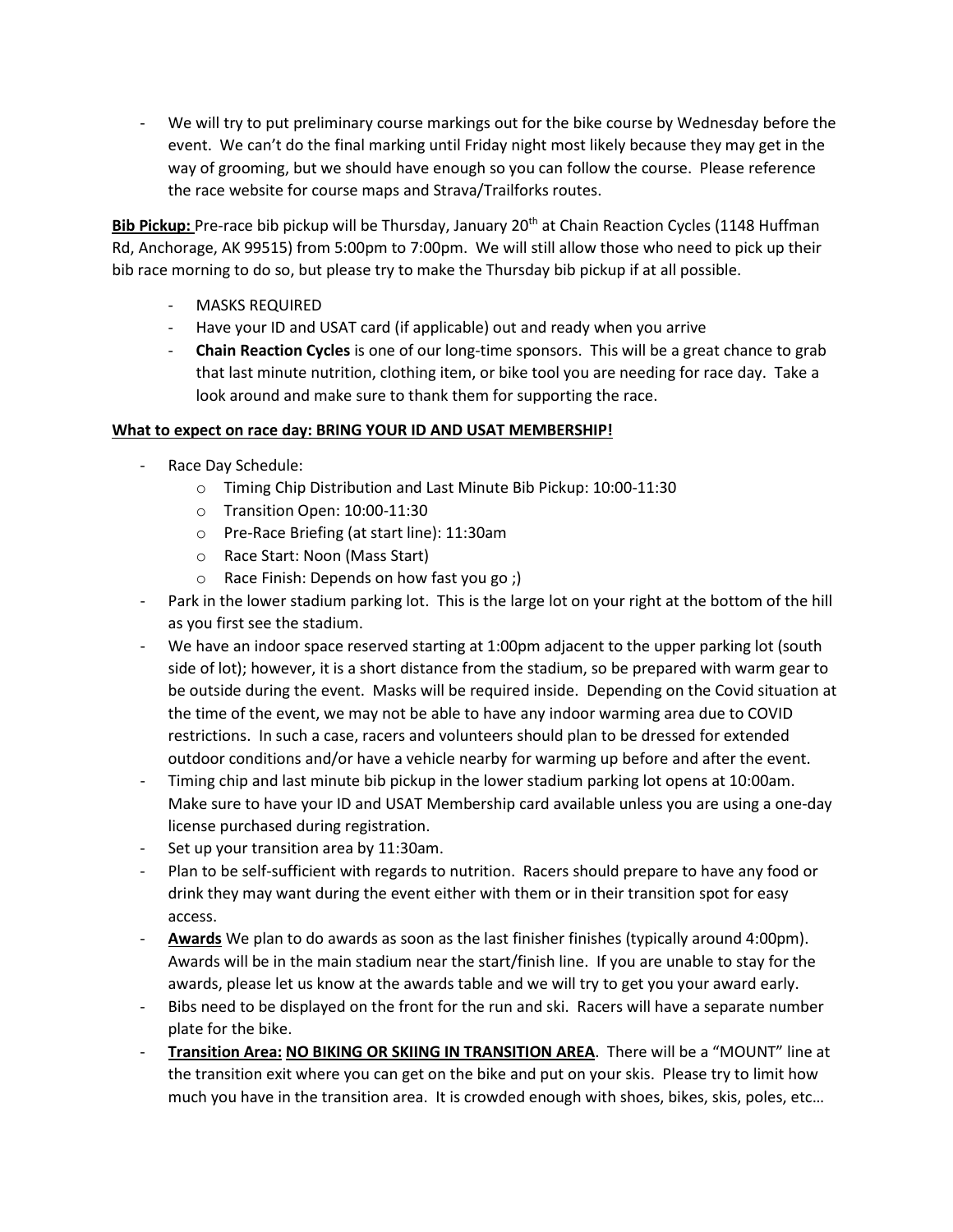- We will try to put preliminary course markings out for the bike course by Wednesday before the event. We can't do the final marking until Friday night most likely because they may get in the way of grooming, but we should have enough so you can follow the course. Please reference the race website for course maps and Strava/Trailforks routes.

**Bib Pickup:** Pre-race bib pickup will be Thursday, January 20th at Chain Reaction Cycles (1148 Huffman Rd, Anchorage, AK 99515) from 5:00pm to 7:00pm. We will still allow those who need to pick up their bib race morning to do so, but please try to make the Thursday bib pickup if at all possible.

- MASKS REQUIRED
- Have your ID and USAT card (if applicable) out and ready when you arrive
- **Chain Reaction Cycles** is one of our long-time sponsors. This will be a great chance to grab that last minute nutrition, clothing item, or bike tool you are needing for race day. Take a look around and make sure to thank them for supporting the race.

## **What to expect on race day: BRING YOUR ID AND USAT MEMBERSHIP!**

- Race Day Schedule:
	- o Timing Chip Distribution and Last Minute Bib Pickup: 10:00-11:30
	- o Transition Open: 10:00-11:30
	- o Pre-Race Briefing (at start line): 11:30am
	- o Race Start: Noon (Mass Start)
	- o Race Finish: Depends on how fast you go ;)
- Park in the lower stadium parking lot. This is the large lot on your right at the bottom of the hill as you first see the stadium.
- We have an indoor space reserved starting at 1:00pm adjacent to the upper parking lot (south side of lot); however, it is a short distance from the stadium, so be prepared with warm gear to be outside during the event. Masks will be required inside. Depending on the Covid situation at the time of the event, we may not be able to have any indoor warming area due to COVID restrictions. In such a case, racers and volunteers should plan to be dressed for extended outdoor conditions and/or have a vehicle nearby for warming up before and after the event.
- Timing chip and last minute bib pickup in the lower stadium parking lot opens at 10:00am. Make sure to have your ID and USAT Membership card available unless you are using a one-day license purchased during registration.
- Set up your transition area by 11:30am.
- Plan to be self-sufficient with regards to nutrition. Racers should prepare to have any food or drink they may want during the event either with them or in their transition spot for easy access.
- **Awards** We plan to do awards as soon as the last finisher finishes (typically around 4:00pm). Awards will be in the main stadium near the start/finish line. If you are unable to stay for the awards, please let us know at the awards table and we will try to get you your award early.
- Bibs need to be displayed on the front for the run and ski. Racers will have a separate number plate for the bike.
- **Transition Area: NO BIKING OR SKIING IN TRANSITION AREA**. There will be a "MOUNT" line at the transition exit where you can get on the bike and put on your skis. Please try to limit how much you have in the transition area. It is crowded enough with shoes, bikes, skis, poles, etc…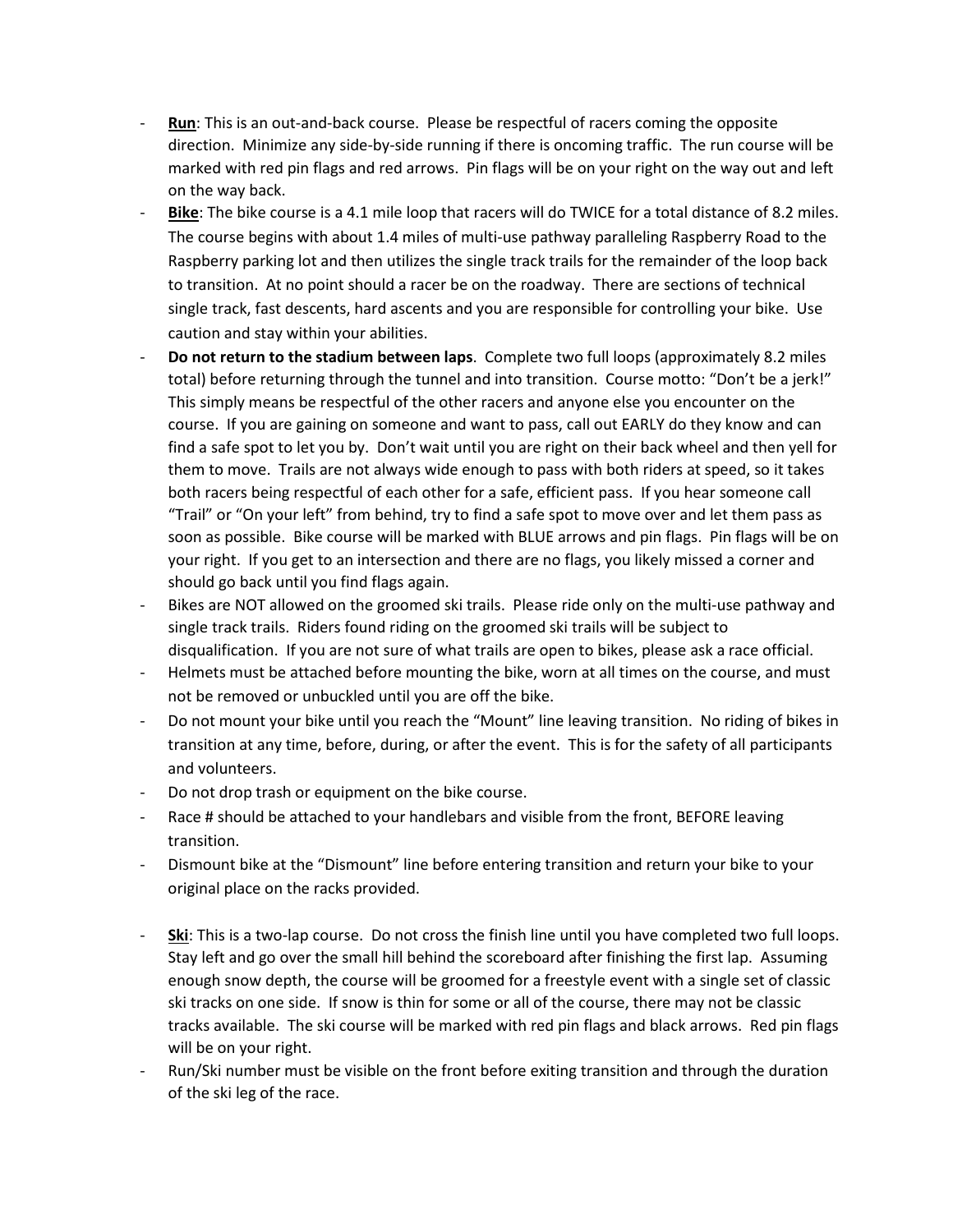- **Run**: This is an out-and-back course. Please be respectful of racers coming the opposite direction. Minimize any side-by-side running if there is oncoming traffic. The run course will be marked with red pin flags and red arrows. Pin flags will be on your right on the way out and left on the way back.
- Bike: The bike course is a 4.1 mile loop that racers will do TWICE for a total distance of 8.2 miles. The course begins with about 1.4 miles of multi-use pathway paralleling Raspberry Road to the Raspberry parking lot and then utilizes the single track trails for the remainder of the loop back to transition. At no point should a racer be on the roadway. There are sections of technical single track, fast descents, hard ascents and you are responsible for controlling your bike. Use caution and stay within your abilities.
- **Do not return to the stadium between laps**. Complete two full loops (approximately 8.2 miles total) before returning through the tunnel and into transition. Course motto: "Don't be a jerk!" This simply means be respectful of the other racers and anyone else you encounter on the course. If you are gaining on someone and want to pass, call out EARLY do they know and can find a safe spot to let you by. Don't wait until you are right on their back wheel and then yell for them to move. Trails are not always wide enough to pass with both riders at speed, so it takes both racers being respectful of each other for a safe, efficient pass. If you hear someone call "Trail" or "On your left" from behind, try to find a safe spot to move over and let them pass as soon as possible. Bike course will be marked with BLUE arrows and pin flags. Pin flags will be on your right. If you get to an intersection and there are no flags, you likely missed a corner and should go back until you find flags again.
- Bikes are NOT allowed on the groomed ski trails. Please ride only on the multi-use pathway and single track trails. Riders found riding on the groomed ski trails will be subject to disqualification. If you are not sure of what trails are open to bikes, please ask a race official.
- Helmets must be attached before mounting the bike, worn at all times on the course, and must not be removed or unbuckled until you are off the bike.
- Do not mount your bike until you reach the "Mount" line leaving transition. No riding of bikes in transition at any time, before, during, or after the event. This is for the safety of all participants and volunteers.
- Do not drop trash or equipment on the bike course.
- Race # should be attached to your handlebars and visible from the front, BEFORE leaving transition.
- Dismount bike at the "Dismount" line before entering transition and return your bike to your original place on the racks provided.
- **Ski**: This is a two-lap course. Do not cross the finish line until you have completed two full loops. Stay left and go over the small hill behind the scoreboard after finishing the first lap. Assuming enough snow depth, the course will be groomed for a freestyle event with a single set of classic ski tracks on one side. If snow is thin for some or all of the course, there may not be classic tracks available. The ski course will be marked with red pin flags and black arrows. Red pin flags will be on your right.
- Run/Ski number must be visible on the front before exiting transition and through the duration of the ski leg of the race.